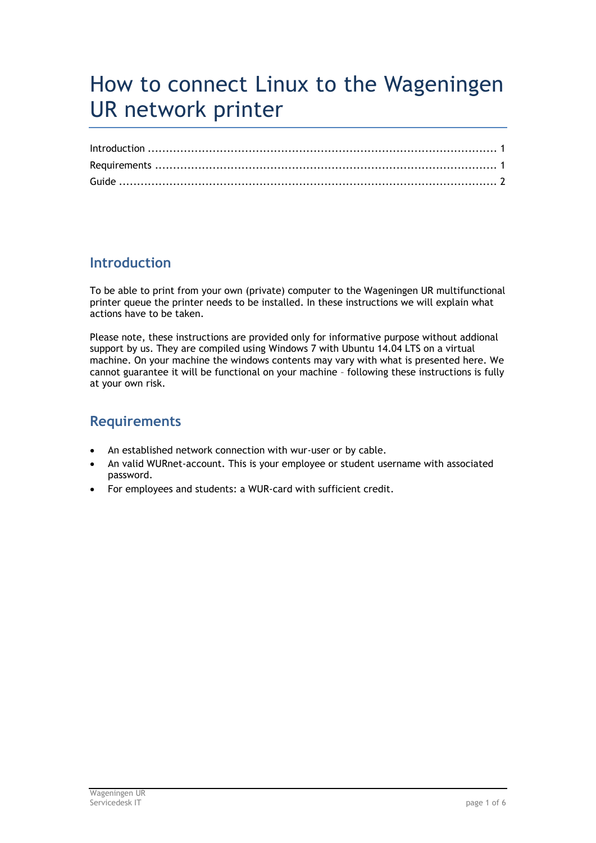# <span id="page-0-2"></span>How to connect Linux to the Wageningen UR network printer

## <span id="page-0-0"></span>**Introduction**

To be able to print from your own (private) computer to the Wageningen UR multifunctional printer queue the printer needs to be installed. In these instructions we will explain what actions have to be taken.

Please note, these instructions are provided only for informative purpose without addional support by us. They are compiled using Windows 7 with Ubuntu 14.04 LTS on a virtual machine. On your machine the windows contents may vary with what is presented here. We cannot guarantee it will be functional on your machine – following these instructions is fully at your own risk.

## <span id="page-0-1"></span>**Requirements**

- An established network connection with wur-user or by cable.
- An valid WURnet-account. This is your employee or student username with associated password.
- For employees and students: a WUR-card with sufficient credit.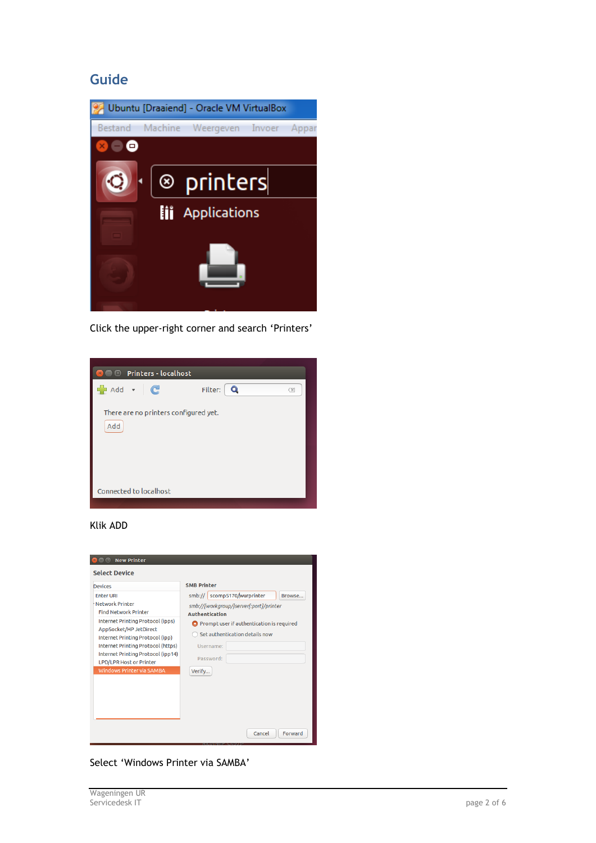### <span id="page-1-0"></span>**Guide**



Click the upper-right corner and search 'Printers'



#### Klik ADD



Select 'Windows Printer via SAMBA'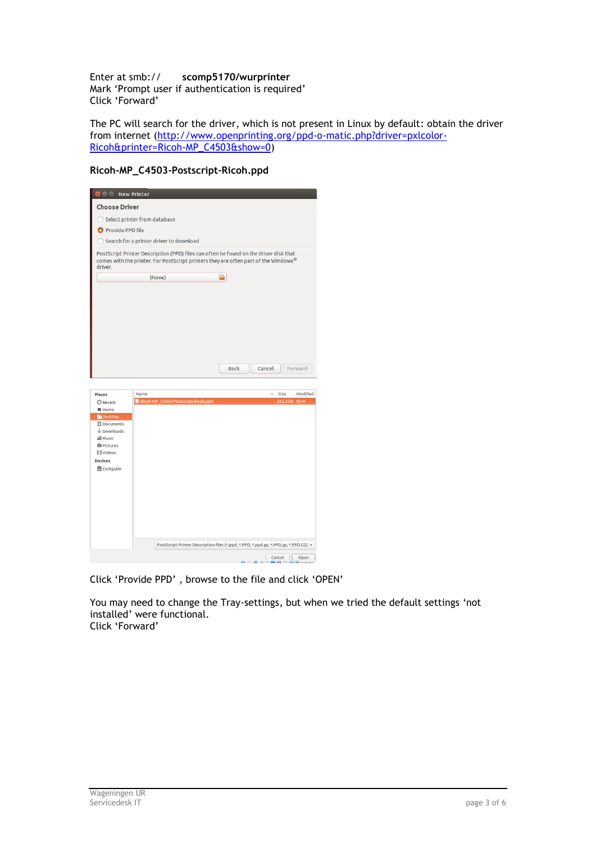Enter at smb:// **scomp5170/wurprinter** Mark 'Prompt user if authentication is required' Click 'Forward'

The PC will search for the driver, which is not present in Linux by default: obtain the driver from internet [\(http://www.openprinting.org/ppd-o-matic.php?driver=pxlcolor-](http://www.openprinting.org/ppd-o-matic.php?driver=pxlcolor-Ricoh&printer=Ricoh-MP_C4503&show=0)[Ricoh&printer=Ricoh-MP\\_C4503&show=0\)](http://www.openprinting.org/ppd-o-matic.php?driver=pxlcolor-Ricoh&printer=Ricoh-MP_C4503&show=0)

#### **Ricoh-MP\_C4503-Postscript-Ricoh.ppd**



Click 'Provide PPD' , browse to the file and click 'OPEN'

You may need to change the Tray-settings, but when we tried the default settings 'not installed' were functional. Click 'Forward'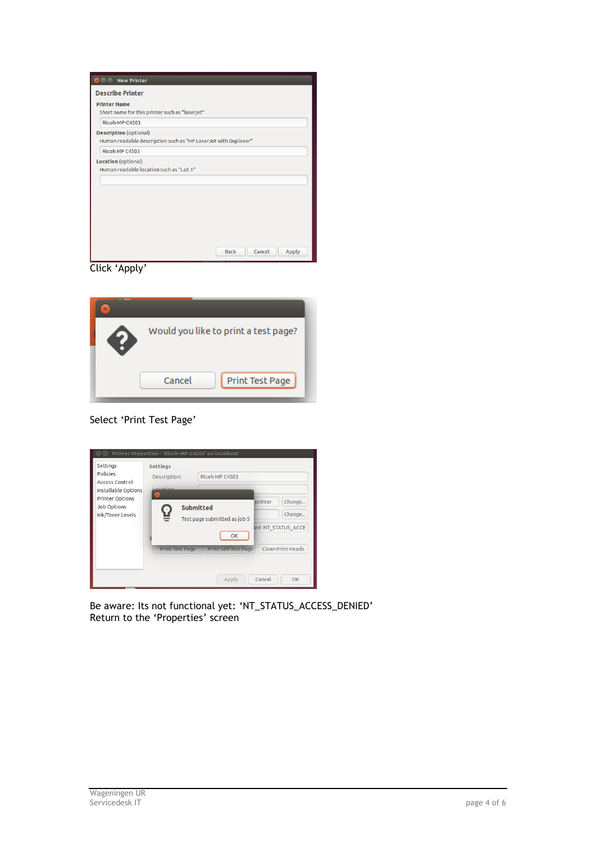| <b>Describe Printer</b>                                                                         |  |
|-------------------------------------------------------------------------------------------------|--|
| <b>Printer Name</b><br>Short name for this printer such as "laserjet"                           |  |
| Ricoh-MP-C4503                                                                                  |  |
| <b>Description</b> (optional)<br>Human-readable description such as "HP LaserJet with Duplexer" |  |
| Ricoh MP C4503                                                                                  |  |
| Location (optional)<br>Human-readable location such as "Lab 1"                                  |  |
|                                                                                                 |  |
|                                                                                                 |  |
|                                                                                                 |  |
|                                                                                                 |  |
|                                                                                                 |  |

Click 'Apply'



Select 'Print Test Page'

| $\Box$<br><b>Settings</b><br><b>Policies</b><br><b>Access Control</b>                          | Printer Properties - 'Ricoh-MP-C4503' on localhost<br><b>Settings</b><br>Ricoh MP C4503<br>Description:<br>Location:                                                                                                    |
|------------------------------------------------------------------------------------------------|-------------------------------------------------------------------------------------------------------------------------------------------------------------------------------------------------------------------------|
| Installable Options<br><b>Printer Options</b><br><b>Job Options</b><br><b>Ink/Toner Levels</b> | $\mathbf{x}$<br>Change<br><b>printer</b><br><b>Submitted</b><br>Change<br>Test page submitted as job 5<br>ed: NT STATUS ACCE<br>OK<br><b>Clean Print Heads</b><br><b>Print Self-Test Page</b><br><b>Print Test Page</b> |
|                                                                                                | Cancel<br>Apply<br>OK                                                                                                                                                                                                   |

Be aware: Its not functional yet: 'NT\_STATUS\_ACCESS\_DENIED' Return to the 'Properties' screen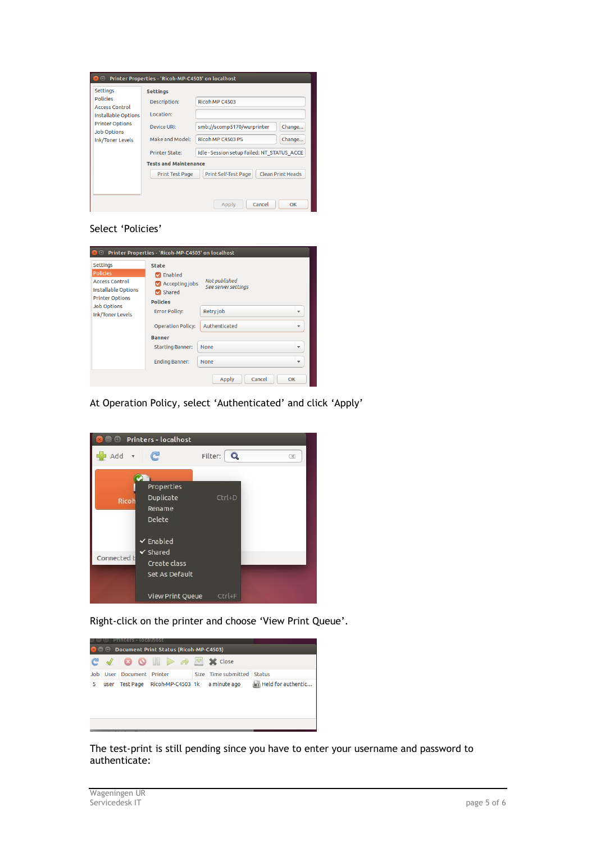

#### Select 'Policies'

| Printer Properties - 'Ricoh-MP-C4503' on localhost                                                                  |                                                                                 |                                          |  |  |  |  |
|---------------------------------------------------------------------------------------------------------------------|---------------------------------------------------------------------------------|------------------------------------------|--|--|--|--|
| <b>Settings</b><br><b>Policies</b><br><b>Access Control</b><br><b>Installable Options</b><br><b>Printer Options</b> | <b>State</b><br>Enabled<br>Accepting jobs<br><b>Z</b> Shared<br><b>Policies</b> | Not published<br>See server settings     |  |  |  |  |
| <b>Job Options</b><br><b>Ink/Toner Levels</b>                                                                       | <b>Error Policy:</b>                                                            | Retry job<br>$\overline{\mathbf{v}}$     |  |  |  |  |
|                                                                                                                     | <b>Operation Policy:</b>                                                        | Authenticated<br>$\overline{\mathbf{v}}$ |  |  |  |  |
|                                                                                                                     | <b>Banner</b>                                                                   |                                          |  |  |  |  |
|                                                                                                                     | <b>Starting Banner:</b>                                                         | None<br>v                                |  |  |  |  |
|                                                                                                                     | <b>Ending Banner:</b>                                                           | None                                     |  |  |  |  |
|                                                                                                                     |                                                                                 | Cancel<br>Apply<br>OK                    |  |  |  |  |

At Operation Policy, select 'Authenticated' and click 'Apply'



Right-click on the printer and choose 'View Print Queue'.



The test-print is still pending since you have to enter your username and password to authenticate: